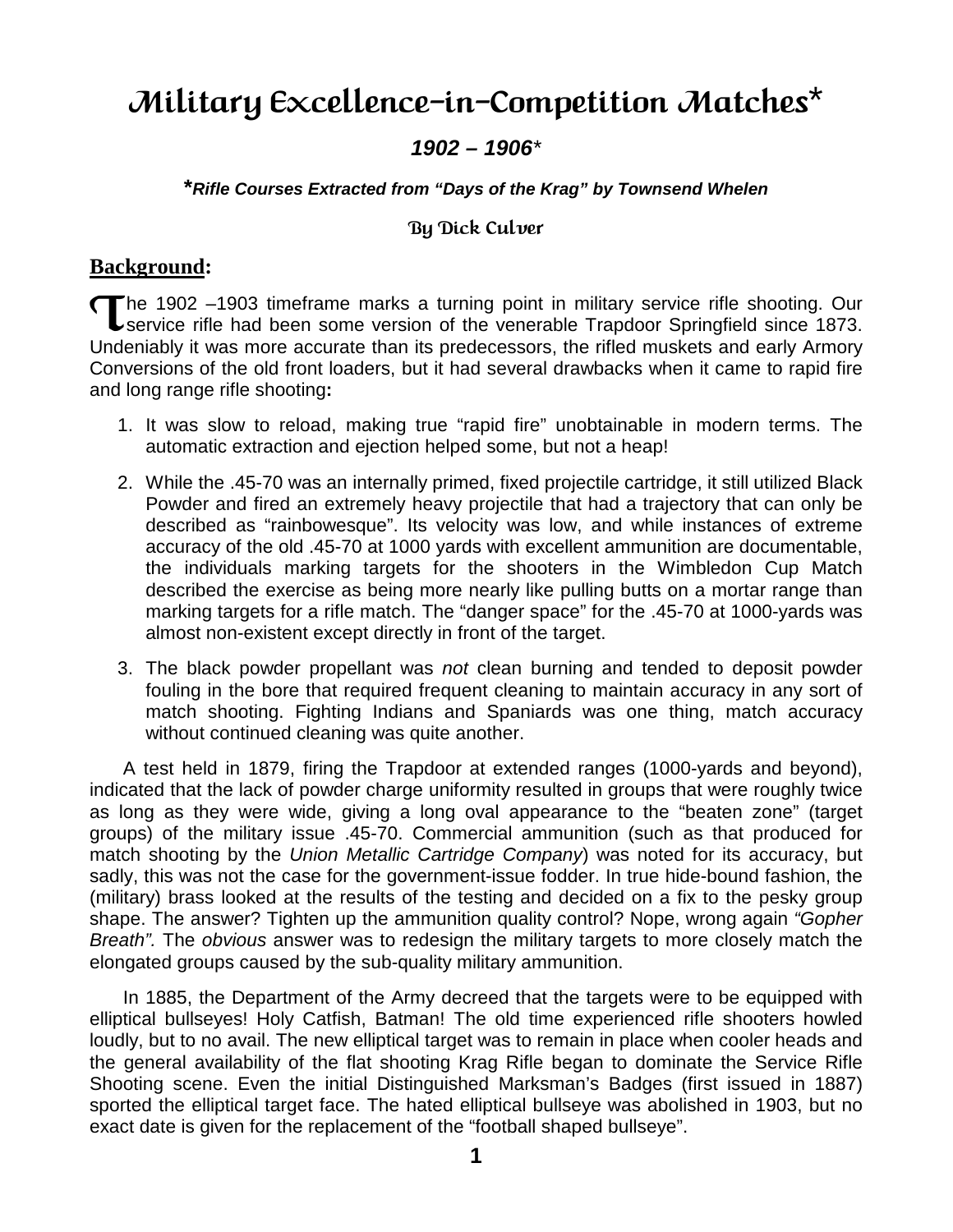# Military Excellence-in-Competition Matches\*

## **1902 – 1906**\*

#### **\*Rifle Courses Extracted from "Days of the Krag" by Townsend Whelen**

#### By Dick Culver

## **Background:**

he 1902 –1903 timeframe marks a turning point in military service rifle shooting. Our The 1902 –1903 timeframe marks a turning point in military service rifle shooting. Our<br>
service rifle had been some version of the venerable Trapdoor Springfield since 1873. Undeniably it was more accurate than its predecessors, the rifled muskets and early Armory Conversions of the old front loaders, but it had several drawbacks when it came to rapid fire and long range rifle shooting**:** 

- 1. It was slow to reload, making true "rapid fire" unobtainable in modern terms. The automatic extraction and ejection helped some, but not a heap!
- 2. While the .45-70 was an internally primed, fixed projectile cartridge, it still utilized Black Powder and fired an extremely heavy projectile that had a trajectory that can only be described as "rainbowesque". Its velocity was low, and while instances of extreme accuracy of the old .45-70 at 1000 yards with excellent ammunition are documentable, the individuals marking targets for the shooters in the Wimbledon Cup Match described the exercise as being more nearly like pulling butts on a mortar range than marking targets for a rifle match. The "danger space" for the .45-70 at 1000-yards was almost non-existent except directly in front of the target.
- 3. The black powder propellant was not clean burning and tended to deposit powder fouling in the bore that required frequent cleaning to maintain accuracy in any sort of match shooting. Fighting Indians and Spaniards was one thing, match accuracy without continued cleaning was quite another.

 A test held in 1879, firing the Trapdoor at extended ranges (1000-yards and beyond), indicated that the lack of powder charge uniformity resulted in groups that were roughly twice as long as they were wide, giving a long oval appearance to the "beaten zone" (target groups) of the military issue .45-70. Commercial ammunition (such as that produced for match shooting by the Union Metallic Cartridge Company) was noted for its accuracy, but sadly, this was not the case for the government-issue fodder. In true hide-bound fashion, the (military) brass looked at the results of the testing and decided on a fix to the pesky group shape. The answer? Tighten up the ammunition quality control? Nope, wrong again "Gopher Breath". The obvious answer was to redesign the military targets to more closely match the elongated groups caused by the sub-quality military ammunition.

In 1885, the Department of the Army decreed that the targets were to be equipped with elliptical bullseyes! Holy Catfish, Batman! The old time experienced rifle shooters howled loudly, but to no avail. The new elliptical target was to remain in place when cooler heads and the general availability of the flat shooting Krag Rifle began to dominate the Service Rifle Shooting scene. Even the initial Distinguished Marksman's Badges (first issued in 1887) sported the elliptical target face. The hated elliptical bullseye was abolished in 1903, but no exact date is given for the replacement of the "football shaped bullseye".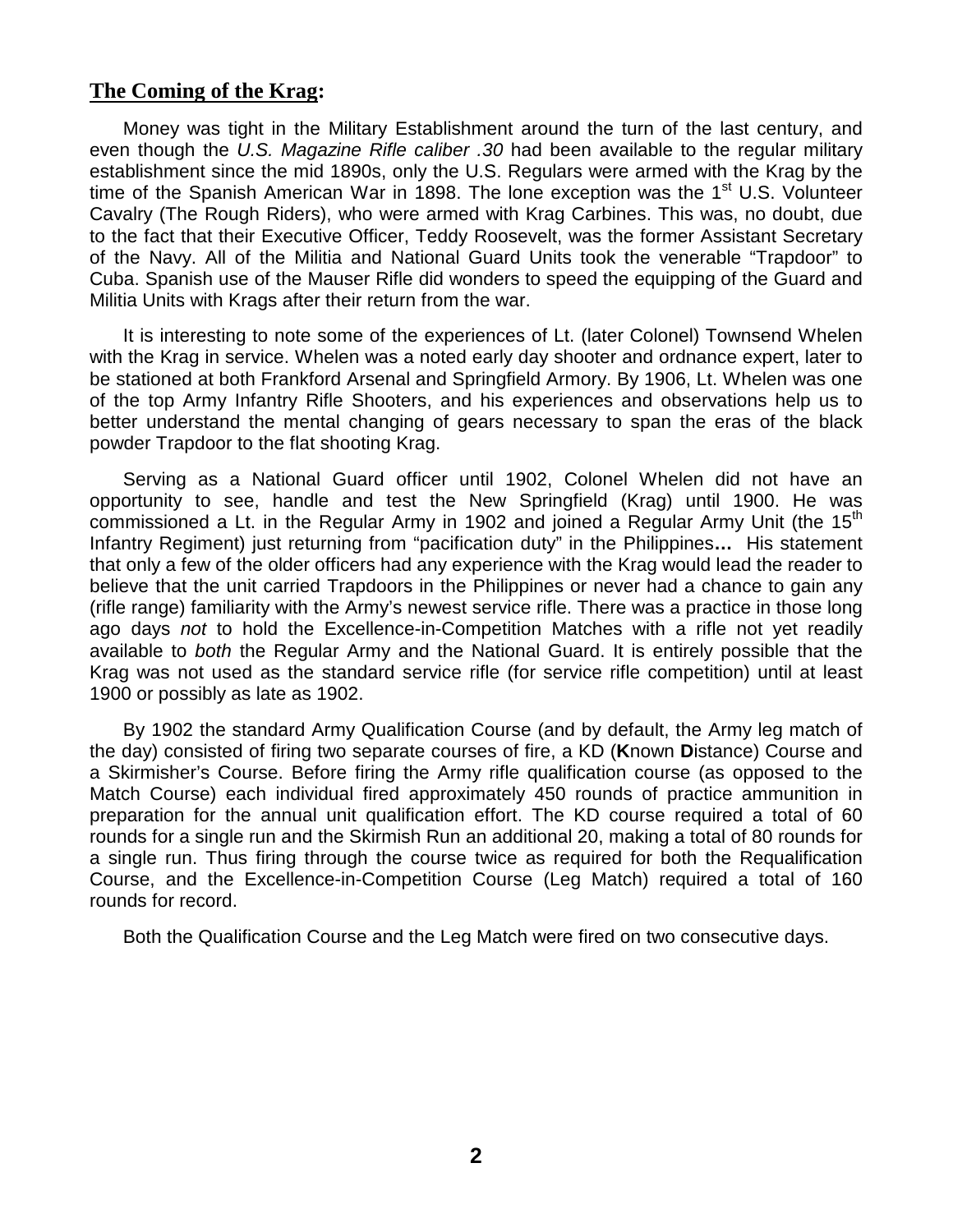### **The Coming of the Krag:**

Money was tight in the Military Establishment around the turn of the last century, and even though the U.S. Magazine Rifle caliber .30 had been available to the regular military establishment since the mid 1890s, only the U.S. Regulars were armed with the Krag by the time of the Spanish American War in 1898. The lone exception was the 1<sup>st</sup> U.S. Volunteer Cavalry (The Rough Riders), who were armed with Krag Carbines. This was, no doubt, due to the fact that their Executive Officer, Teddy Roosevelt, was the former Assistant Secretary of the Navy. All of the Militia and National Guard Units took the venerable "Trapdoor" to Cuba. Spanish use of the Mauser Rifle did wonders to speed the equipping of the Guard and Militia Units with Krags after their return from the war.

It is interesting to note some of the experiences of Lt. (later Colonel) Townsend Whelen with the Krag in service. Whelen was a noted early day shooter and ordnance expert, later to be stationed at both Frankford Arsenal and Springfield Armory. By 1906, Lt. Whelen was one of the top Army Infantry Rifle Shooters, and his experiences and observations help us to better understand the mental changing of gears necessary to span the eras of the black powder Trapdoor to the flat shooting Krag.

Serving as a National Guard officer until 1902, Colonel Whelen did not have an opportunity to see, handle and test the New Springfield (Krag) until 1900. He was commissioned a Lt. in the Regular Army in 1902 and joined a Regular Army Unit (the  $15<sup>th</sup>$ Infantry Regiment) just returning from "pacification duty" in the Philippines**…** His statement that only a few of the older officers had any experience with the Krag would lead the reader to believe that the unit carried Trapdoors in the Philippines or never had a chance to gain any (rifle range) familiarity with the Army's newest service rifle. There was a practice in those long ago days not to hold the Excellence-in-Competition Matches with a rifle not yet readily available to both the Regular Army and the National Guard. It is entirely possible that the Krag was not used as the standard service rifle (for service rifle competition) until at least 1900 or possibly as late as 1902.

By 1902 the standard Army Qualification Course (and by default, the Army leg match of the day) consisted of firing two separate courses of fire, a KD (**K**nown **D**istance) Course and a Skirmisher's Course. Before firing the Army rifle qualification course (as opposed to the Match Course) each individual fired approximately 450 rounds of practice ammunition in preparation for the annual unit qualification effort. The KD course required a total of 60 rounds for a single run and the Skirmish Run an additional 20, making a total of 80 rounds for a single run. Thus firing through the course twice as required for both the Requalification Course, and the Excellence-in-Competition Course (Leg Match) required a total of 160 rounds for record.

Both the Qualification Course and the Leg Match were fired on two consecutive days.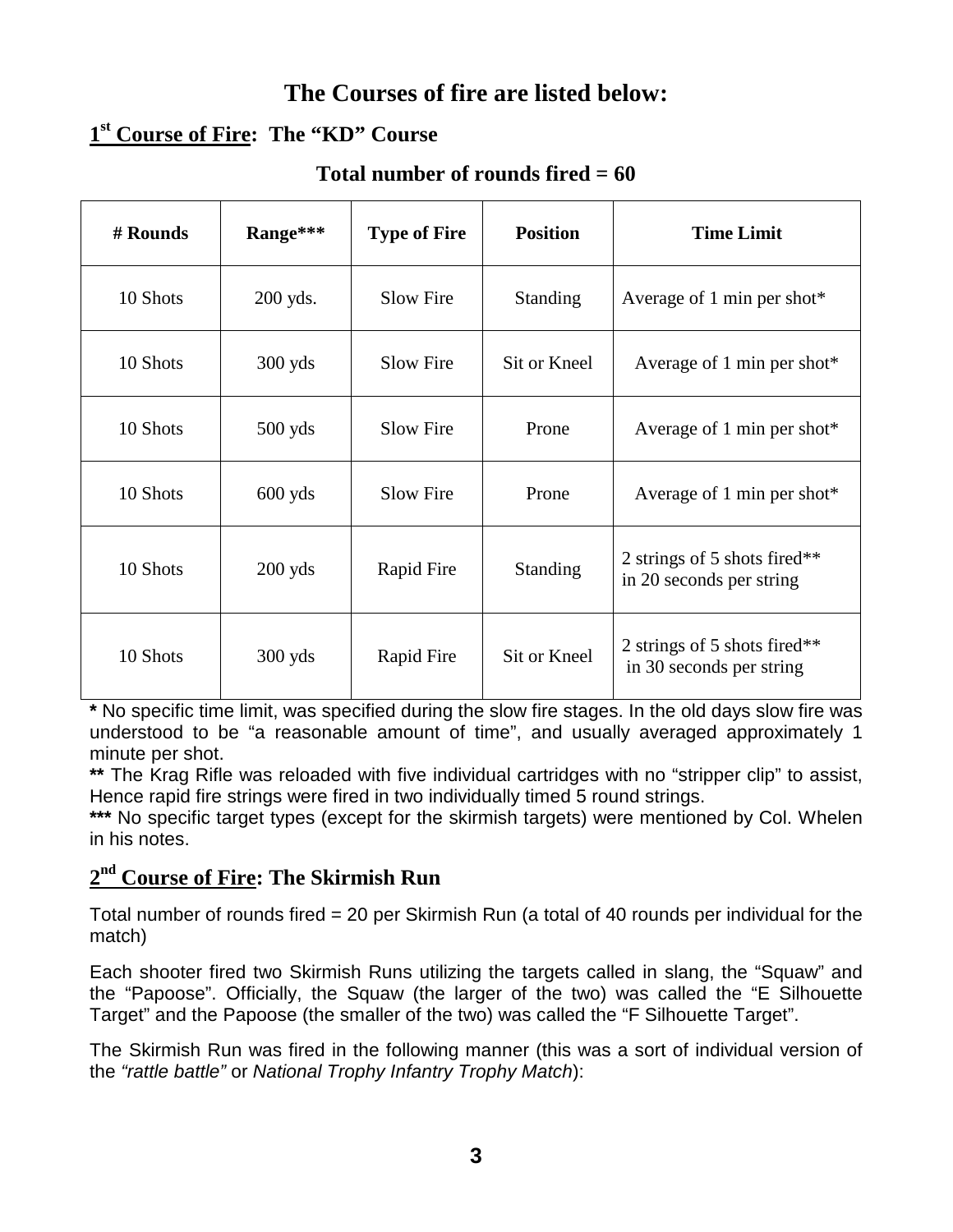# **The Courses of fire are listed below:**

# **1 st Course of Fire: The "KD" Course**

# **Total number of rounds fired = 60**

| # Rounds | Range***   | <b>Type of Fire</b> | <b>Position</b> | <b>Time Limit</b>                                        |
|----------|------------|---------------------|-----------------|----------------------------------------------------------|
| 10 Shots | $200$ yds. | Slow Fire           | <b>Standing</b> | Average of 1 min per shot $*$                            |
| 10 Shots | $300$ yds  | Slow Fire           | Sit or Kneel    | Average of 1 min per shot $*$                            |
| 10 Shots | $500$ yds  | Slow Fire           | Prone           | Average of 1 min per shot $*$                            |
| 10 Shots | $600$ yds  | <b>Slow Fire</b>    | Prone           | Average of 1 min per shot*                               |
| 10 Shots | $200$ yds  | Rapid Fire          | <b>Standing</b> | 2 strings of 5 shots fired**<br>in 20 seconds per string |
| 10 Shots | $300$ yds  | Rapid Fire          | Sit or Kneel    | 2 strings of 5 shots fired**<br>in 30 seconds per string |

**\*** No specific time limit, was specified during the slow fire stages. In the old days slow fire was understood to be "a reasonable amount of time", and usually averaged approximately 1 minute per shot.

**\*\*** The Krag Rifle was reloaded with five individual cartridges with no "stripper clip" to assist, Hence rapid fire strings were fired in two individually timed 5 round strings.

\*\*\* No specific target types (except for the skirmish targets) were mentioned by Col. Whelen in his notes.

# **2 nd Course of Fire: The Skirmish Run**

Total number of rounds fired = 20 per Skirmish Run (a total of 40 rounds per individual for the match)

Each shooter fired two Skirmish Runs utilizing the targets called in slang, the "Squaw" and the "Papoose". Officially, the Squaw (the larger of the two) was called the "E Silhouette Target" and the Papoose (the smaller of the two) was called the "F Silhouette Target".

The Skirmish Run was fired in the following manner (this was a sort of individual version of the "rattle battle" or National Trophy Infantry Trophy Match):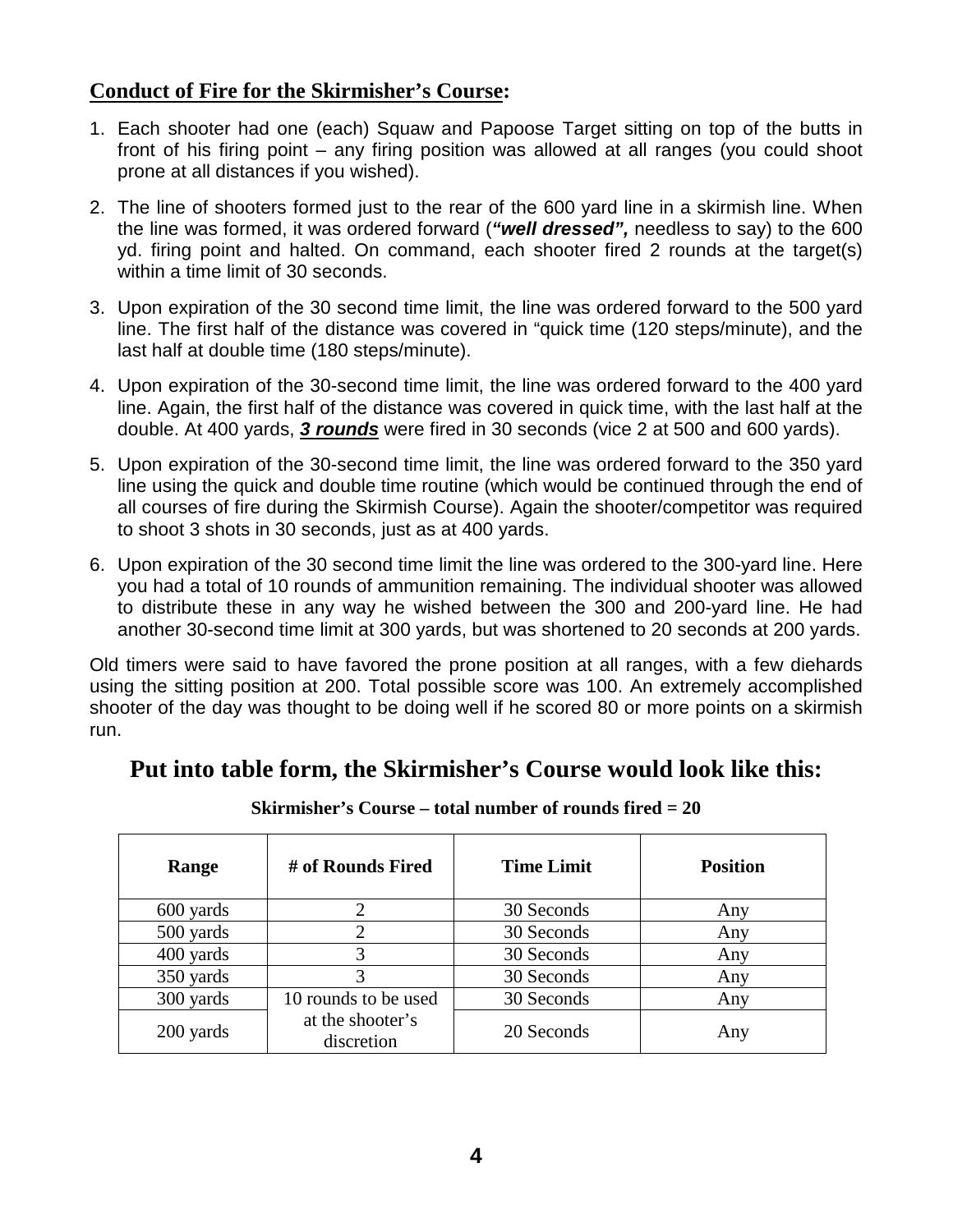## **Conduct of Fire for the Skirmisher's Course:**

- 1. Each shooter had one (each) Squaw and Papoose Target sitting on top of the butts in front of his firing point – any firing position was allowed at all ranges (you could shoot prone at all distances if you wished).
- 2. The line of shooters formed just to the rear of the 600 yard line in a skirmish line. When the line was formed, it was ordered forward (**"well dressed",** needless to say) to the 600 yd. firing point and halted. On command, each shooter fired 2 rounds at the target(s) within a time limit of 30 seconds.
- 3. Upon expiration of the 30 second time limit, the line was ordered forward to the 500 yard line. The first half of the distance was covered in "quick time (120 steps/minute), and the last half at double time (180 steps/minute).
- 4. Upon expiration of the 30-second time limit, the line was ordered forward to the 400 yard line. Again, the first half of the distance was covered in quick time, with the last half at the double. At 400 yards, **3 rounds** were fired in 30 seconds (vice 2 at 500 and 600 yards).
- 5. Upon expiration of the 30-second time limit, the line was ordered forward to the 350 yard line using the quick and double time routine (which would be continued through the end of all courses of fire during the Skirmish Course). Again the shooter/competitor was required to shoot 3 shots in 30 seconds, just as at 400 yards.
- 6. Upon expiration of the 30 second time limit the line was ordered to the 300-yard line. Here you had a total of 10 rounds of ammunition remaining. The individual shooter was allowed to distribute these in any way he wished between the 300 and 200-yard line. He had another 30-second time limit at 300 yards, but was shortened to 20 seconds at 200 yards.

Old timers were said to have favored the prone position at all ranges, with a few diehards using the sitting position at 200. Total possible score was 100. An extremely accomplished shooter of the day was thought to be doing well if he scored 80 or more points on a skirmish run.

# **Put into table form, the Skirmisher's Course would look like this:**

| Range     | # of Rounds Fired              | <b>Time Limit</b> | <b>Position</b> |
|-----------|--------------------------------|-------------------|-----------------|
| 600 yards |                                | 30 Seconds        | Any             |
| 500 yards |                                | 30 Seconds        | Any             |
| 400 yards | 3                              | 30 Seconds        | Any             |
| 350 yards |                                | 30 Seconds        | Any             |
| 300 yards | 10 rounds to be used           | 30 Seconds        | Any             |
| 200 yards | at the shooter's<br>discretion | 20 Seconds        | Any             |

**Skirmisher's Course – total number of rounds fired = 20**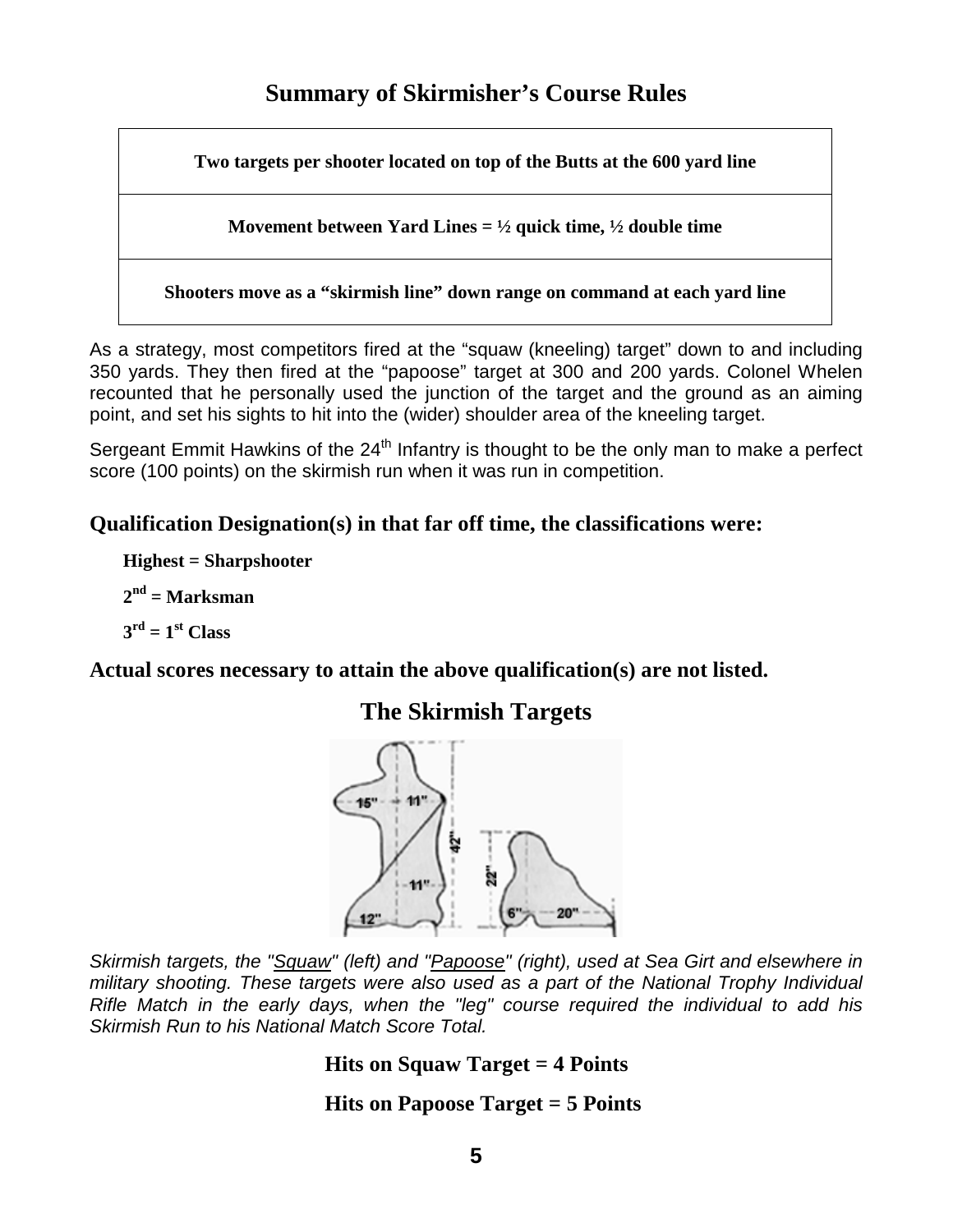**Two targets per shooter located on top of the Butts at the 600 yard line** 

**Movement between Yard Lines = ½ quick time, ½ double time** 

**Shooters move as a "skirmish line" down range on command at each yard line** 

As a strategy, most competitors fired at the "squaw (kneeling) target" down to and including 350 yards. They then fired at the "papoose" target at 300 and 200 yards. Colonel Whelen recounted that he personally used the junction of the target and the ground as an aiming point, and set his sights to hit into the (wider) shoulder area of the kneeling target.

Sergeant Emmit Hawkins of the 24<sup>th</sup> Infantry is thought to be the only man to make a perfect score (100 points) on the skirmish run when it was run in competition.

# **Qualification Designation(s) in that far off time, the classifications were:**

**Highest = Sharpshooter** 

**2 nd = Marksman** 

 $3<sup>rd</sup> = 1<sup>st</sup>$  Class

**Actual scores necessary to attain the above qualification(s) are not listed.** 

# **The Skirmish Targets**



Skirmish targets, the "Squaw" (left) and "Papoose" (right), used at Sea Girt and elsewhere in military shooting. These targets were also used as a part of the National Trophy Individual Rifle Match in the early days, when the "leg" course required the individual to add his Skirmish Run to his National Match Score Total.

## **Hits on Squaw Target = 4 Points**

# **Hits on Papoose Target = 5 Points**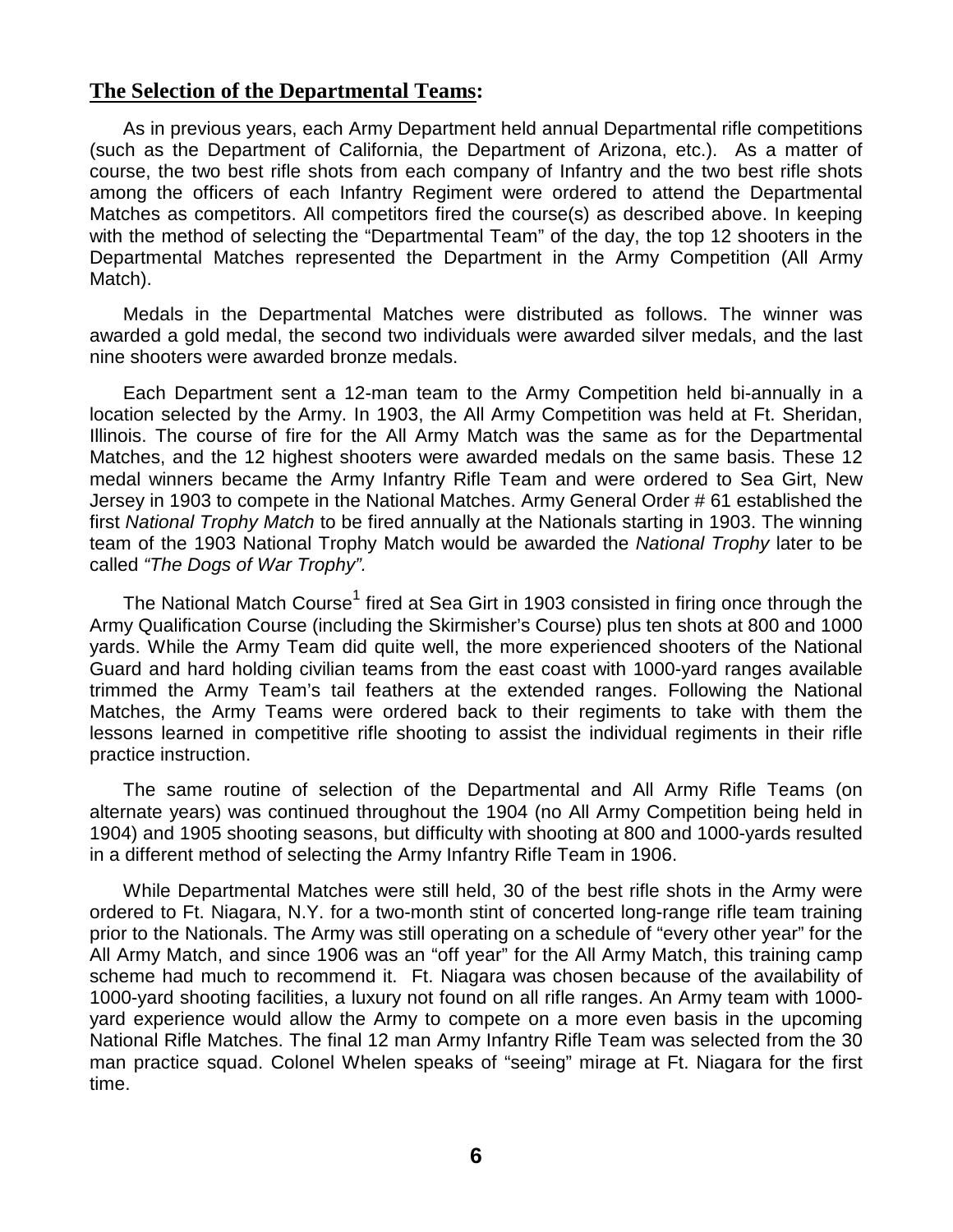#### **The Selection of the Departmental Teams:**

As in previous years, each Army Department held annual Departmental rifle competitions (such as the Department of California, the Department of Arizona, etc.). As a matter of course, the two best rifle shots from each company of Infantry and the two best rifle shots among the officers of each Infantry Regiment were ordered to attend the Departmental Matches as competitors. All competitors fired the course(s) as described above. In keeping with the method of selecting the "Departmental Team" of the day, the top 12 shooters in the Departmental Matches represented the Department in the Army Competition (All Army Match).

Medals in the Departmental Matches were distributed as follows. The winner was awarded a gold medal, the second two individuals were awarded silver medals, and the last nine shooters were awarded bronze medals.

Each Department sent a 12-man team to the Army Competition held bi-annually in a location selected by the Army. In 1903, the All Army Competition was held at Ft. Sheridan, Illinois. The course of fire for the All Army Match was the same as for the Departmental Matches, and the 12 highest shooters were awarded medals on the same basis. These 12 medal winners became the Army Infantry Rifle Team and were ordered to Sea Girt, New Jersey in 1903 to compete in the National Matches. Army General Order # 61 established the first National Trophy Match to be fired annually at the Nationals starting in 1903. The winning team of the 1903 National Trophy Match would be awarded the National Trophy later to be called "The Dogs of War Trophy".

The National Match Course $^{\rm 1}$  fired at Sea Girt in 1903 consisted in firing once through the Army Qualification Course (including the Skirmisher's Course) plus ten shots at 800 and 1000 yards. While the Army Team did quite well, the more experienced shooters of the National Guard and hard holding civilian teams from the east coast with 1000-yard ranges available trimmed the Army Team's tail feathers at the extended ranges. Following the National Matches, the Army Teams were ordered back to their regiments to take with them the lessons learned in competitive rifle shooting to assist the individual regiments in their rifle practice instruction.

The same routine of selection of the Departmental and All Army Rifle Teams (on alternate years) was continued throughout the 1904 (no All Army Competition being held in 1904) and 1905 shooting seasons, but difficulty with shooting at 800 and 1000-yards resulted in a different method of selecting the Army Infantry Rifle Team in 1906.

While Departmental Matches were still held, 30 of the best rifle shots in the Army were ordered to Ft. Niagara, N.Y. for a two-month stint of concerted long-range rifle team training prior to the Nationals. The Army was still operating on a schedule of "every other year" for the All Army Match, and since 1906 was an "off year" for the All Army Match, this training camp scheme had much to recommend it. Ft. Niagara was chosen because of the availability of 1000-yard shooting facilities, a luxury not found on all rifle ranges. An Army team with 1000 yard experience would allow the Army to compete on a more even basis in the upcoming National Rifle Matches. The final 12 man Army Infantry Rifle Team was selected from the 30 man practice squad. Colonel Whelen speaks of "seeing" mirage at Ft. Niagara for the first time.